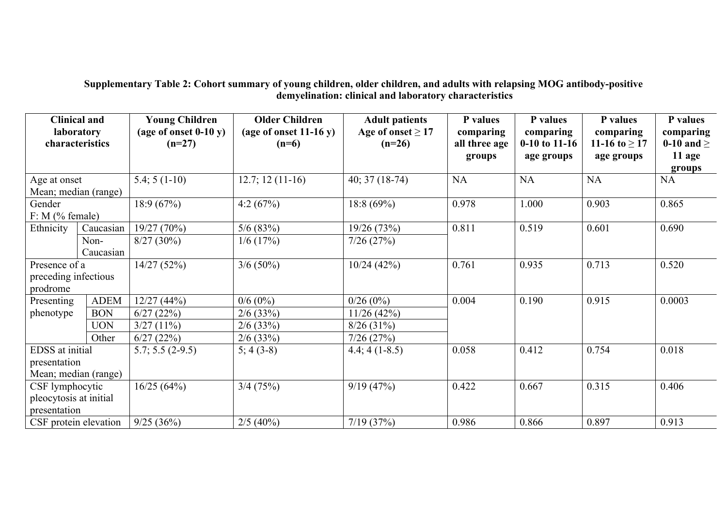## **Supplementary Table 2: Cohort summary of young children, older children, and adults with relapsing MOG antibody-positive demyelination: clinical and laboratory characteristics**

| <b>Clinical and</b><br><b>laboratory</b><br>characteristics |             | <b>Young Children</b><br>(age of onset $0-10$ y)<br>$(n=27)$ | <b>Older Children</b><br>(age of onset $11-16$ y)<br>$(n=6)$ | <b>Adult patients</b><br>Age of onset $\geq$ 17<br>$(n=26)$ | P values<br>comparing<br>all three age<br>groups | P values<br>comparing<br>$0-10$ to 11-16<br>age groups | P values<br>comparing<br>11-16 to $\geq$ 17<br>age groups | P values<br>comparing<br>0-10 and $\geq$<br>11 age<br>groups |
|-------------------------------------------------------------|-------------|--------------------------------------------------------------|--------------------------------------------------------------|-------------------------------------------------------------|--------------------------------------------------|--------------------------------------------------------|-----------------------------------------------------------|--------------------------------------------------------------|
| Age at onset                                                |             | $5.4; 5(1-10)$                                               | $12.7; 12(11-16)$                                            | $40; 37(18-74)$                                             | NA                                               | <b>NA</b>                                              | <b>NA</b>                                                 | NA                                                           |
| Mean; median (range)                                        |             |                                                              |                                                              |                                                             |                                                  |                                                        |                                                           |                                                              |
| Gender                                                      |             | 18:9(67%)                                                    | 4:2 $(67%)$                                                  | 18:8 (69%)                                                  | 0.978                                            | 1.000                                                  | 0.903                                                     | 0.865                                                        |
| $F: M$ (% female)                                           |             |                                                              |                                                              |                                                             |                                                  |                                                        |                                                           |                                                              |
| Ethnicity                                                   | Caucasian   | 19/27(70%)                                                   | 5/6(83%)                                                     | 19/26 (73%)                                                 | 0.811                                            | 0.519                                                  | 0.601                                                     | 0.690                                                        |
|                                                             | Non-        | $8/27(30\%)$                                                 | $1/6$ (17%)                                                  | 7/26(27%)                                                   |                                                  |                                                        |                                                           |                                                              |
|                                                             | Caucasian   |                                                              |                                                              |                                                             |                                                  |                                                        |                                                           |                                                              |
| Presence of a                                               |             | 14/27(52%)                                                   | $3/6(50\%)$                                                  | 10/24(42%)                                                  | 0.761                                            | 0.935                                                  | 0.713                                                     | 0.520                                                        |
| preceding infectious                                        |             |                                                              |                                                              |                                                             |                                                  |                                                        |                                                           |                                                              |
| prodrome                                                    |             |                                                              |                                                              |                                                             |                                                  |                                                        |                                                           |                                                              |
| Presenting                                                  | <b>ADEM</b> | 12/27(44%)                                                   | $0/6(0\%)$                                                   | 0/26(0%)                                                    | 0.004                                            | 0.190                                                  | 0.915                                                     | 0.0003                                                       |
| phenotype                                                   | <b>BON</b>  | 6/27(22%)                                                    | $2/6$ (33%)                                                  | 11/26(42%)                                                  |                                                  |                                                        |                                                           |                                                              |
|                                                             | <b>UON</b>  | $3/27(11\%)$                                                 | $2/6$ (33%)                                                  | 8/26(31%)                                                   |                                                  |                                                        |                                                           |                                                              |
|                                                             | Other       | 6/27(22%)                                                    | $2/6$ (33%)                                                  | 7/26(27%)                                                   |                                                  |                                                        |                                                           |                                                              |
| EDSS at initial                                             |             | $5.7; 5.5 (2-9.5)$                                           | $5; 4(3-8)$                                                  | $4.4; 4(1-8.5)$                                             | 0.058                                            | 0.412                                                  | 0.754                                                     | 0.018                                                        |
| presentation                                                |             |                                                              |                                                              |                                                             |                                                  |                                                        |                                                           |                                                              |
| Mean; median (range)                                        |             |                                                              |                                                              |                                                             |                                                  |                                                        |                                                           |                                                              |
| CSF lymphocytic                                             |             | 16/25(64%)                                                   | $3/4$ (75%)                                                  | 9/19(47%)                                                   | 0.422                                            | 0.667                                                  | 0.315                                                     | 0.406                                                        |
| pleocytosis at initial                                      |             |                                                              |                                                              |                                                             |                                                  |                                                        |                                                           |                                                              |
| presentation                                                |             |                                                              |                                                              |                                                             |                                                  |                                                        |                                                           |                                                              |
| CSF protein elevation                                       |             | 9/25(36%)                                                    | $2/5$ (40%)                                                  | 7/19(37%)                                                   | 0.986                                            | 0.866                                                  | 0.897                                                     | 0.913                                                        |